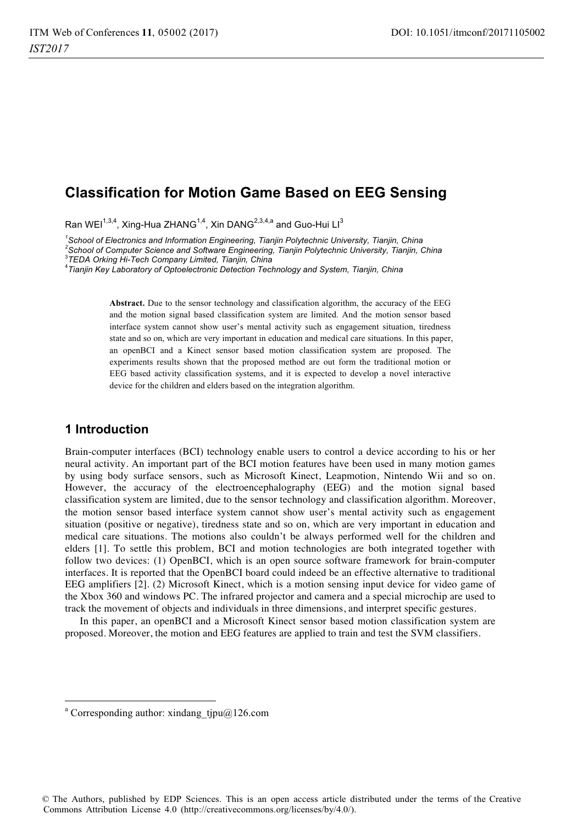# **Classification for Motion Game Based on EEG Sensing**

Ran WEI<sup>1,3,4</sup>, Xing-Hua ZHANG<sup>1,4</sup>, Xin DANG<sup>2,3,4,a</sup> and Guo-Hui LI<sup>3</sup>

*1 School of Electronics and Information Engineering, Tianjin Polytechnic University, Tianjin, China 2*

*School of Computer Science and Software Engineering, Tianjin Polytechnic University, Tianjin, China* <sup>3</sup>

*TEDA Orking Hi-Tech Company Limited, Tianjin, China* <sup>4</sup>

*Tianjin Key Laboratory of Optoelectronic Detection Technology and System, Tianjin, China* 

**Abstract.** Due to the sensor technology and classification algorithm, the accuracy of the EEG and the motion signal based classification system are limited. And the motion sensor based interface system cannot show user's mental activity such as engagement situation, tiredness state and so on, which are very important in education and medical care situations. In this paper, an openBCI and a Kinect sensor based motion classification system are proposed. The experiments results shown that the proposed method are out form the traditional motion or EEG based activity classification systems, and it is expected to develop a novel interactive device for the children and elders based on the integration algorithm.

### **1 Introduction**

 $\overline{a}$ 

Brain-computer interfaces (BCI) technology enable users to control a device according to his or her neural activity. An important part of the BCI motion features have been used in many motion games by using body surface sensors, such as Microsoft Kinect, Leapmotion, Nintendo Wii and so on. However, the accuracy of the electroencephalography (EEG) and the motion signal based classification system are limited, due to the sensor technology and classification algorithm. Moreover, the motion sensor based interface system cannot show user's mental activity such as engagement situation (positive or negative), tiredness state and so on, which are very important in education and medical care situations. The motions also couldn't be always performed well for the children and elders [1]. To settle this problem, BCI and motion technologies are both integrated together with follow two devices: (1) OpenBCI, which is an open source software framework for brain-computer interfaces. It is reported that the OpenBCI board could indeed be an effective alternative to traditional EEG amplifiers [2]. (2) Microsoft Kinect, which is a motion sensing input device for video game of the Xbox 360 and windows PC. The infrared projector and camera and a special microchip are used to track the movement of objects and individuals in three dimensions, and interpret specific gestures.

In this paper, an openBCI and a Microsoft Kinect sensor based motion classification system are proposed. Moreover, the motion and EEG features are applied to train and test the SVM classifiers.

© The Authors, published by EDP Sciences. This is an open access article distributed under the terms of the Creative Commons Attribution License 4.0 (http://creativecommons.org/licenses/by/4.0/).

a Corresponding author: xindang  $tipu@126$ .com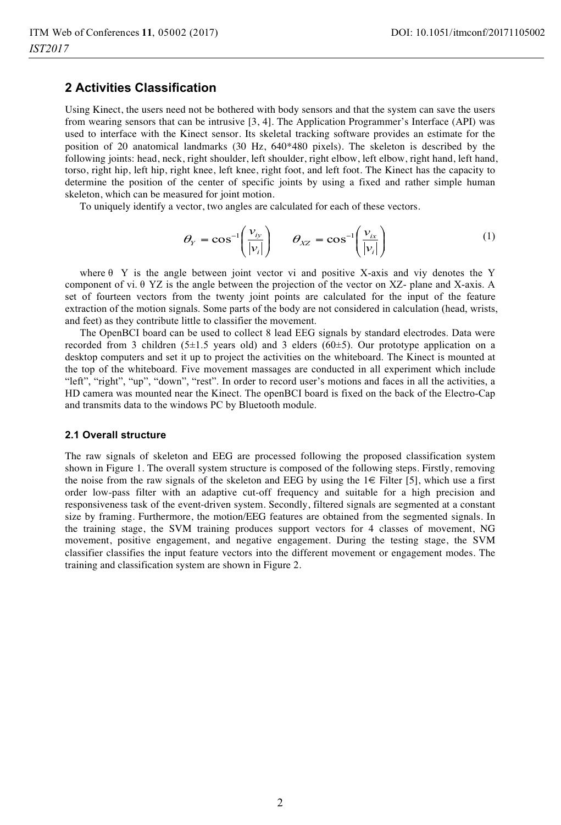### **2 Activities Classification**

Using Kinect, the users need not be bothered with body sensors and that the system can save the users from wearing sensors that can be intrusive [3, 4]. The Application Programmer's Interface (API) was used to interface with the Kinect sensor. Its skeletal tracking software provides an estimate for the position of 20 anatomical landmarks (30 Hz, 640\*480 pixels). The skeleton is described by the following joints: head, neck, right shoulder, left shoulder, right elbow, left elbow, right hand, left hand, torso, right hip, left hip, right knee, left knee, right foot, and left foot. The Kinect has the capacity to determine the position of the center of specific joints by using a fixed and rather simple human skeleton, which can be measured for joint motion.

To uniquely identify a vector, two angles are calculated for each of these vectors.

$$
\theta_{Y} = \cos^{-1}\left(\frac{v_{iy}}{|v_i|}\right) \qquad \theta_{XZ} = \cos^{-1}\left(\frac{v_{ix}}{|v_i|}\right) \tag{1}
$$

where  $\theta$  Y is the angle between joint vector vi and positive X-axis and viy denotes the Y component of vi. θ YZ is the angle between the projection of the vector on XZ- plane and X-axis. A set of fourteen vectors from the twenty joint points are calculated for the input of the feature extraction of the motion signals. Some parts of the body are not considered in calculation (head, wrists, and feet) as they contribute little to classifier the movement.

The OpenBCI board can be used to collect 8 lead EEG signals by standard electrodes. Data were recorded from 3 children (5±1.5 years old) and 3 elders (60±5). Our prototype application on a desktop computers and set it up to project the activities on the whiteboard. The Kinect is mounted at the top of the whiteboard. Five movement massages are conducted in all experiment which include "left", "right", "up", "down", "rest". In order to record user's motions and faces in all the activities, a HD camera was mounted near the Kinect. The openBCI board is fixed on the back of the Electro-Cap and transmits data to the windows PC by Bluetooth module.

#### **2.1 Overall structure**

The raw signals of skeleton and EEG are processed following the proposed classification system shown in Figure 1. The overall system structure is composed of the following steps. Firstly, removing the noise from the raw signals of the skeleton and EEG by using the  $1 \in$  Filter [5], which use a first order low-pass filter with an adaptive cut-off frequency and suitable for a high precision and responsiveness task of the event-driven system. Secondly, filtered signals are segmented at a constant size by framing. Furthermore, the motion/EEG features are obtained from the segmented signals. In the training stage, the SVM training produces support vectors for 4 classes of movement, NG movement, positive engagement, and negative engagement. During the testing stage, the SVM classifier classifies the input feature vectors into the different movement or engagement modes. The training and classification system are shown in Figure 2.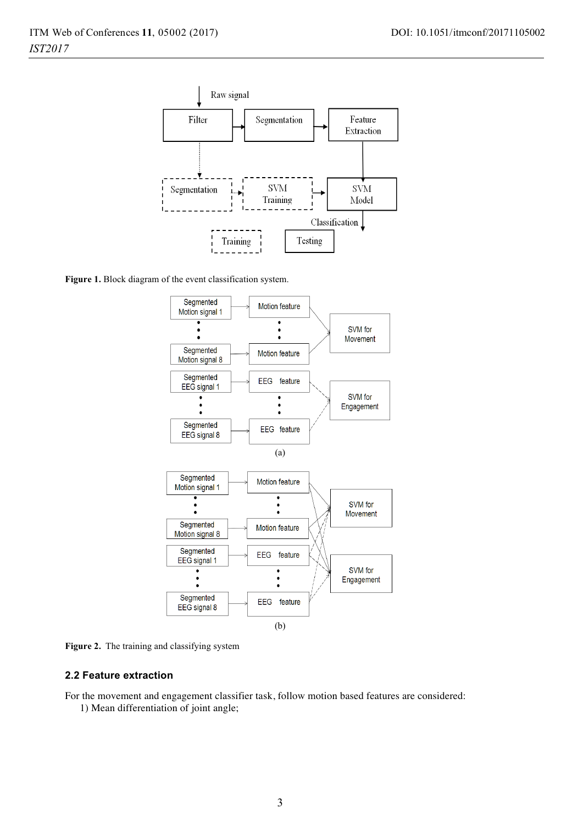

**Figure 1.** Block diagram of the event classification system.



**Figure 2.** The training and classifying system

#### **2.2 Feature extraction**

For the movement and engagement classifier task, follow motion based features are considered:

1) Mean differentiation of joint angle;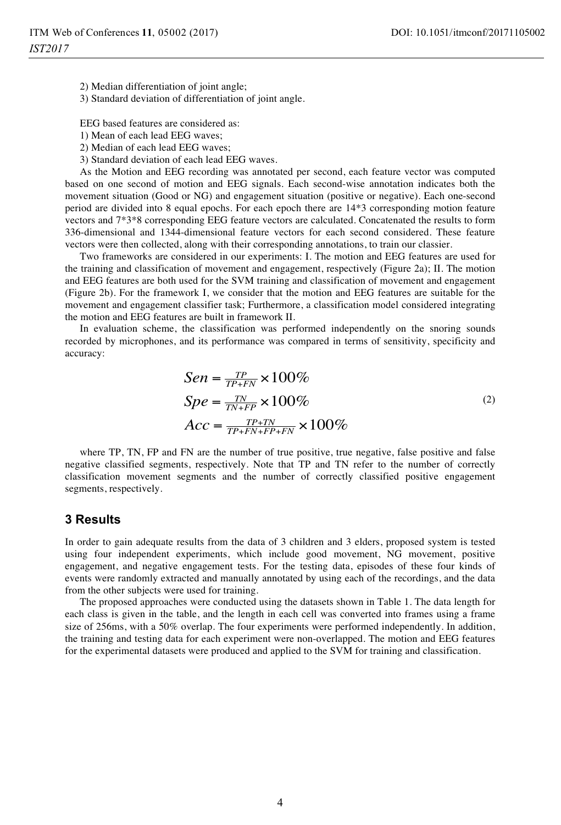2) Median differentiation of joint angle;

3) Standard deviation of differentiation of joint angle.

 $\overline{a}$ 

EEG based features are considered as:

1) Mean of each lead EEG waves;

- 2) Median of each lead EEG waves;
- 3) Standard deviation of each lead EEG waves.

As the Motion and EEG recording was annotated per second, each feature vector was computed based on one second of motion and EEG signals. Each second-wise annotation indicates both the movement situation (Good or NG) and engagement situation (positive or negative). Each one-second period are divided into 8 equal epochs. For each epoch there are 14\*3 corresponding motion feature vectors and 7\*3\*8 corresponding EEG feature vectors are calculated. Concatenated the results to form 336-dimensional and 1344-dimensional feature vectors for each second considered. These feature vectors were then collected, along with their corresponding annotations, to train our classier.

Two frameworks are considered in our experiments: I. The motion and EEG features are used for the training and classification of movement and engagement, respectively (Figure 2a); II. The motion and EEG features are both used for the SVM training and classification of movement and engagement (Figure 2b). For the framework I, we consider that the motion and EEG features are suitable for the movement and engagement classifier task; Furthermore, a classification model considered integrating the motion and EEG features are built in framework II.

In evaluation scheme, the classification was performed independently on the snoring sounds recorded by microphones, and its performance was compared in terms of sensitivity, specificity and accuracy:

$$
Sen = \frac{TP}{TP+FN} \times 100\%
$$
  
\n
$$
Spe = \frac{TN}{TN+FP} \times 100\%
$$
  
\n
$$
Acc = \frac{TP+TN}{TP+FN+FP+FN} \times 100\%
$$
\n(2)

where TP, TN, FP and FN are the number of true positive, true negative, false positive and false negative classified segments, respectively. Note that TP and TN refer to the number of correctly classification movement segments and the number of correctly classified positive engagement segments, respectively.

### **3 Results**

In order to gain adequate results from the data of 3 children and 3 elders, proposed system is tested using four independent experiments, which include good movement, NG movement, positive engagement, and negative engagement tests. For the testing data, episodes of these four kinds of events were randomly extracted and manually annotated by using each of the recordings, and the data from the other subjects were used for training.

The proposed approaches were conducted using the datasets shown in Table 1. The data length for each class is given in the table, and the length in each cell was converted into frames using a frame size of 256ms, with a 50% overlap. The four experiments were performed independently. In addition, the training and testing data for each experiment were non-overlapped. The motion and EEG features for the experimental datasets were produced and applied to the SVM for training and classification.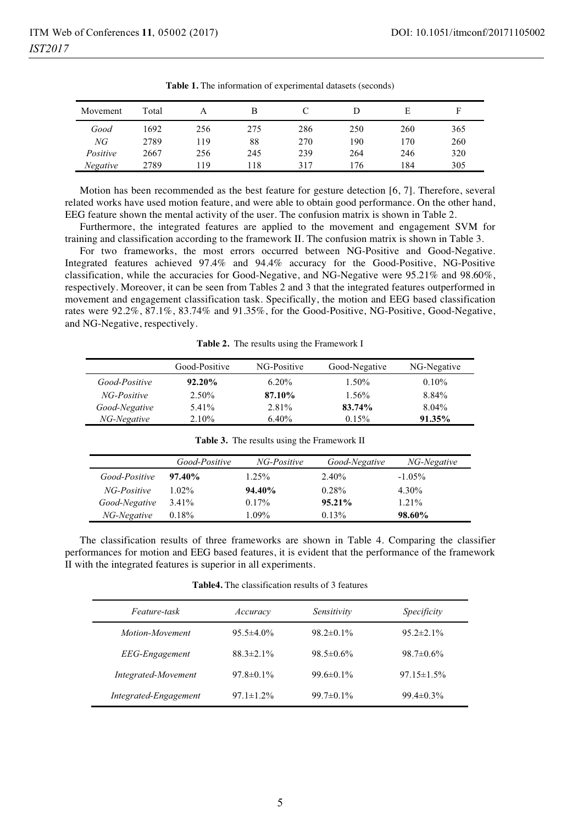| Movement | Total |     | в   |     |     | E   |     |
|----------|-------|-----|-----|-----|-----|-----|-----|
| Good     | 1692  | 256 | 275 | 286 | 250 | 260 | 365 |
| NG       | 2789  | 19  | 88  | 270 | 190 | 170 | 260 |
| Positive | 2667  | 256 | 245 | 239 | 264 | 246 | 320 |
| Negative | 2789  | 19  | 118 | 317 | 176 | 184 | 305 |

**Table 1.** The information of experimental datasets (seconds)

Motion has been recommended as the best feature for gesture detection [6, 7]. Therefore, several related works have used motion feature, and were able to obtain good performance. On the other hand, EEG feature shown the mental activity of the user. The confusion matrix is shown in Table 2.

Furthermore, the integrated features are applied to the movement and engagement SVM for training and classification according to the framework II. The confusion matrix is shown in Table 3.

For two frameworks, the most errors occurred between NG-Positive and Good-Negative. Integrated features achieved 97.4% and 94.4% accuracy for the Good-Positive, NG-Positive classification, while the accuracies for Good-Negative, and NG-Negative were 95.21% and 98.60%, respectively. Moreover, it can be seen from Tables 2 and 3 that the integrated features outperformed in movement and engagement classification task. Specifically, the motion and EEG based classification rates were 92.2%, 87.1%, 83.74% and 91.35%, for the Good-Positive, NG-Positive, Good-Negative, and NG-Negative, respectively.

**Table 2.** The results using the Framework I

| Good-Positive | NG-Positive | Good-Negative | NG-Negative |
|---------------|-------------|---------------|-------------|
|               | $6.20\%$    | 1.50%         | $0.10\%$    |
| 2.50%         | 87.10%      | 1.56%         | 8.84%       |
| 5.41%         | 2.81%       | 83.74%        | $8.04\%$    |
| 2.10%         | $6.40\%$    | 0.15%         | 91.35%      |
|               | $92.20\%$   |               |             |

|               | Good-Positive | NG-Positive | Good-Negative | NG-Negative |
|---------------|---------------|-------------|---------------|-------------|
| Good-Positive | $97.40\%$     | $1.25\%$    | 2.40%         | $-1.05\%$   |
| NG-Positive   | $1.02\%$      | 94.40%      | 0.28%         | $4.30\%$    |
| Good-Negative | $3.41\%$      | 0.17%       | 95.21%        | 1.21%       |
| NG-Negative   | 0.18%         | 1.09%       | 0.13%         | 98.60%      |

**Table 3.** The results using the Framework II

The classification results of three frameworks are shown in Table 4. Comparing the classifier performances for motion and EEG based features, it is evident that the performance of the framework II with the integrated features is superior in all experiments.

**Table4.** The classification results of 3 features

| Feature-task          | Accuracy         | Sensitivity      | Specificity       |
|-----------------------|------------------|------------------|-------------------|
| Motion-Movement       | $95.5 \pm 4.0\%$ | $98.2 \pm 0.1\%$ | $95.2 \pm 2.1\%$  |
| <b>EEG-Engagement</b> | $88.3 \pm 2.1\%$ | $98.5 \pm 0.6\%$ | $98.7 \pm 0.6\%$  |
| Integrated-Movement   | $97.8 \pm 0.1\%$ | $99.6 \pm 0.1\%$ | $97.15 \pm 1.5\%$ |
| Integrated-Engagement | $97.1 \pm 1.2\%$ | $99.7 \pm 0.1\%$ | $99.4 \pm 0.3\%$  |